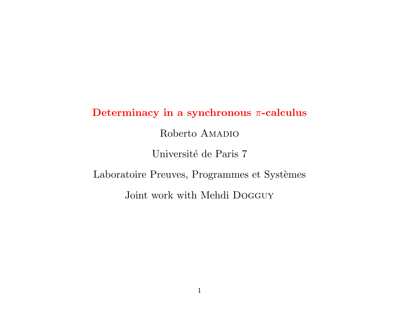# Determinacy in a synchronous  $\pi$ -calculus Roberto AMADIO Université de Paris 7 Laboratoire Preuves, Programmes et Systèmes Joint work with Mehdi Dogguy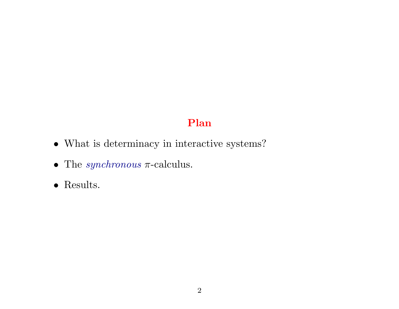# Plan

- $\bullet\,$  What is determinacy in interactive systems?
- The  $synchronous$   $\pi\text{-}calculus.$
- Results.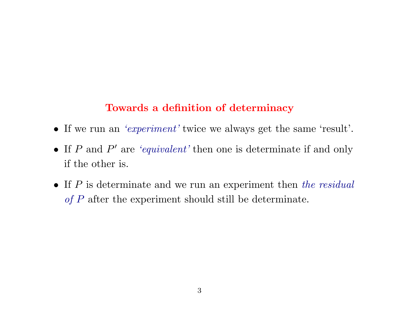# Towards a definition of determinacy

- If we run an 'experiment' twice we always get the same 'result'.
- If  $P$  and  $P'$  are 'equivalent' then one is determinate if and only if the other is.
- If  $P$  is determinate and we run an experiment then the residual of P after the experiment should still be determinate.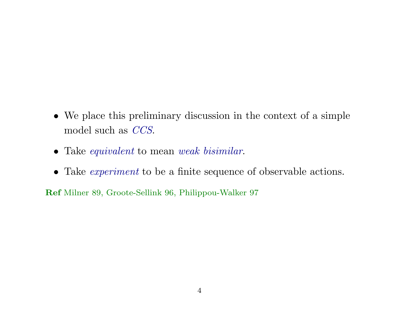- We place this preliminary discussion in the context of a simple model such as CCS.
- Take *equivalent* to mean *weak bisimilar*.
- Take *experiment* to be a finite sequence of observable actions.

Ref Milner 89, Groote-Sellink 96, Philippou-Walker 97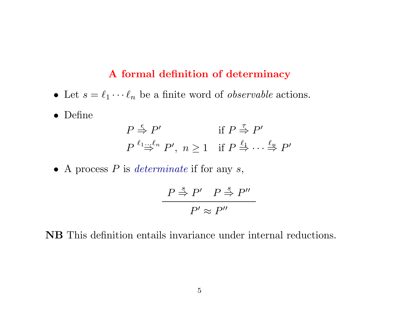#### A formal definition of determinacy

- Let  $s = \ell_1 \cdots \ell_n$  be a finite word of *observable* actions.
- Define

$$
P \stackrel{\epsilon}{\Rightarrow} P'
$$
  
\n
$$
P \stackrel{\ell_1 \dots \ell_n}{\Rightarrow} P', \ n \ge 1 \quad \text{if } P \stackrel{\ell_1}{\Rightarrow} \dots \stackrel{\ell_n}{\Rightarrow} P'
$$

• A process  $P$  is determinate if for any  $s$ ,

$$
\frac{P \stackrel{s}{\Rightarrow} P' \quad P \stackrel{s}{\Rightarrow} P''}{P' \approx P''}
$$

NB This definition entails invariance under internal reductions.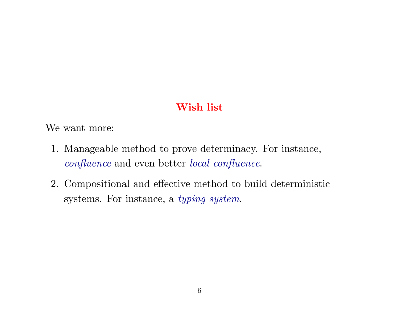# Wish list

We want more:

- 1. Manageable method to prove determinacy. For instance, confluence and even better local confluence.
- 2. Compositional and effective method to build deterministic systems. For instance, a typing system.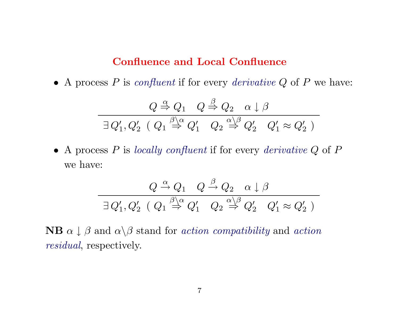## Confluence and Local Confluence

• A process  $P$  is confluent if for every derivative  $Q$  of  $P$  we have:

$$
Q \stackrel{\alpha}{\Rightarrow} Q_1 \quad Q \stackrel{\beta}{\Rightarrow} Q_2 \quad \alpha \downarrow \beta
$$
  

$$
\exists Q'_1, Q'_2 \ \ (Q_1 \stackrel{\beta}{\Rightarrow} Q'_1 \quad Q_2 \stackrel{\alpha \downarrow \beta}{\Rightarrow} Q'_2 \quad Q'_1 \approx Q'_2 \ )
$$

• A process  $P$  is locally confluent if for every derivative  $Q$  of  $P$ we have:

$$
\frac{Q \xrightarrow{\alpha} Q_1 \quad Q \xrightarrow{\beta} Q_2 \quad \alpha \downarrow \beta}{\exists \, Q_1', Q_2' \quad (Q_1 \xrightarrow{\beta \, \alpha} Q_1' \quad Q_2 \xrightarrow{\alpha \, \beta} Q_2' \quad Q_1' \approx Q_2')}
$$

**NB**  $\alpha \downarrow \beta$  and  $\alpha \setminus \beta$  stand for *action compatibility* and *action* residual, respectively.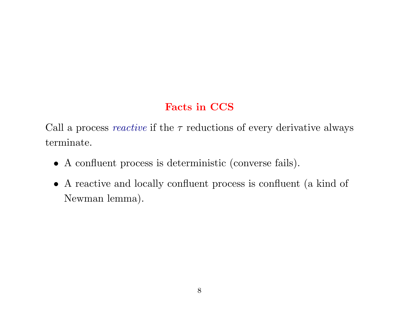# Facts in CCS

Call a process *reactive* if the  $\tau$  reductions of every derivative always terminate.

- A confluent process is deterministic (converse fails).
- A reactive and locally confluent process is confluent (a kind of Newman lemma).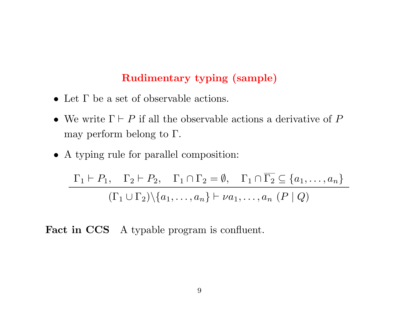## Rudimentary typing (sample)

- Let Γ be a set of observable actions.
- We write  $\Gamma \vdash P$  if all the observable actions a derivative of P may perform belong to  $\Gamma$ .
- A typing rule for parallel composition:

$$
\frac{\Gamma_1 \vdash P_1, \quad \Gamma_2 \vdash P_2, \quad \Gamma_1 \cap \Gamma_2 = \emptyset, \quad \Gamma_1 \cap \overline{\Gamma_2} \subseteq \{a_1, \ldots, a_n\}}{\left(\Gamma_1 \cup \Gamma_2\right) \setminus \{a_1, \ldots, a_n\} \vdash \nu a_1, \ldots, a_n \ (P \mid Q)}
$$

Fact in CCS A typable program is confluent.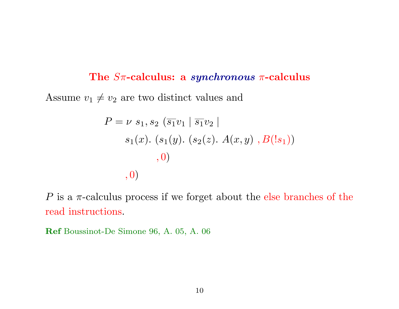#### The  $S\pi$ -calculus: a *synchronous*  $\pi$ -calculus

Assume  $v_1 \neq v_2$  are two distinct values and

$$
P = \nu s_1, s_2 \left( \overline{s_1} v_1 \mid \overline{s_1} v_2 \mid
$$
  
s<sub>1</sub>(x). (s<sub>1</sub>(y). (s<sub>2</sub>(z). A(x, y), B(!s<sub>1</sub>))  
, 0)  
, 0)

P is a  $\pi$ -calculus process if we forget about the else branches of the read instructions.

Ref Boussinot-De Simone 96, A. 05, A. 06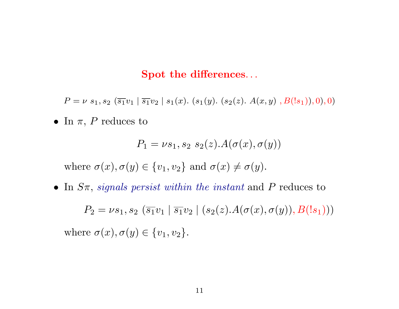#### Spot the differences...

 $P = \nu \, s_1, s_2 \, (\overline{s_1} v_1 \mid \overline{s_1} v_2 \mid s_1(x). \ (s_1(y). \ (s_2(z). \ A(x,y) \ , B(!s_1)),0),0)$ 

• In  $\pi$ , P reduces to

$$
P_1 = \nu s_1, s_2 \ s_2(z).A(\sigma(x), \sigma(y))
$$

where  $\sigma(x)$ ,  $\sigma(y) \in \{v_1, v_2\}$  and  $\sigma(x) \neq \sigma(y)$ .

• In  $S_{\pi}$ , signals persist within the instant and P reduces to

 $P_2 = \nu s_1, s_2 \, (\overline{s_1} v_1 \mid \overline{s_1} v_2 \mid (s_2(z) . A(\sigma(x), \sigma(y)), B(l s_1)))$ where  $\sigma(x), \sigma(y) \in \{v_1, v_2\}.$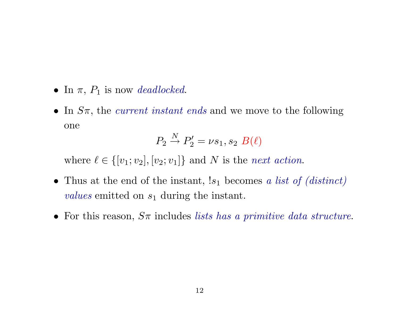- In  $\pi$ ,  $P_1$  is now deadlocked.
- In  $S_{\pi}$ , the *current instant ends* and we move to the following one

$$
P_2 \stackrel{N}{\rightarrow} P_2' = \nu s_1, s_2 \ B(\ell)
$$

where  $\ell \in \{ [v_1; v_2], [v_2; v_1] \}$  and N is the next action.

- Thus at the end of the instant,  $!s_1$  becomes a list of (distinct) values emitted on  $s_1$  during the instant.
- For this reason,  $S_{\pi}$  includes lists has a primitive data structure.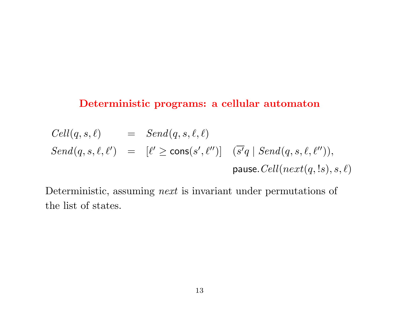## Deterministic programs: a cellular automaton

$$
Cell(q, s, \ell) = Send(q, s, \ell, \ell)
$$
  
\n
$$
Send(q, s, \ell, \ell') = [\ell' \ge \text{cons}(s', \ell'')] \quad (\overline{s'}q \mid Send(q, s, \ell, \ell'')),
$$
  
\n
$$
pause.Cell(next(q, ls), s, \ell)
$$

Deterministic, assuming *next* is invariant under permutations of the list of states.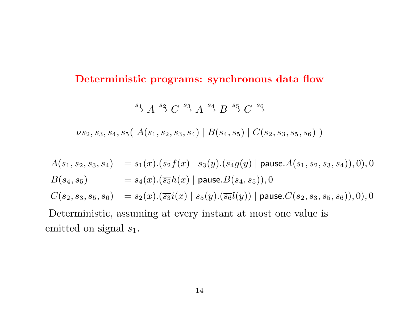#### Deterministic programs: synchronous data flow

 $\stackrel{s_1}{\rightarrow} A \stackrel{s_2}{\rightarrow} C \stackrel{s_3}{\rightarrow} A \stackrel{s_4}{\rightarrow} B \stackrel{s_5}{\rightarrow} C \stackrel{s_6}{\rightarrow}$ 

 $\nu s_2, s_3, s_4, s_5(A(s_1, s_2, s_3, s_4) | B(s_4, s_5) | C(s_2, s_3, s_5, s_6))$ 

 $A(s_1, s_2, s_3, s_4) = s_1(x).(\overline{s_2}f(x) | s_3(y).(\overline{s_4}g(y) | \text{ pause. } A(s_1, s_2, s_3, s_4)), 0), 0$  $B(s_4, s_5)$  =  $s_4(x).(\overline{s_5}h(x) | \text{ pause.}B(s_4, s_5)),0$  $C(s_2, s_3, s_5, s_6) = s_2(x).(\overline{s_3}i(x) | s_5(y).(\overline{s_6}l(y)) |$  pause. $C(s_2, s_3, s_5, s_6)$ , 0, 0, 0 Deterministic, assuming at every instant at most one value is emitted on signal  $s_1$ .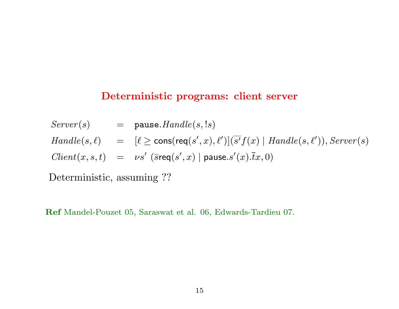#### Deterministic programs: client server

 $Server(s)$  = pause.  $Handle(s, ls)$  $H and le(s, \ell) = [\ell \ge \text{cons}(\text{req}(s', x), \ell')] (\overline{s'} f(x) | \text{H} and le(s, \ell')), Server(s)$  $Client(x, s, t) = \nu s' \; (\overline{s} \text{req}(s', x) \mid \text{pause}.s'(x).\overline{t}x, 0)$ 

Deterministic, assuming ??

Ref Mandel-Pouzet 05, Saraswat et al. 06, Edwards-Tardieu 07.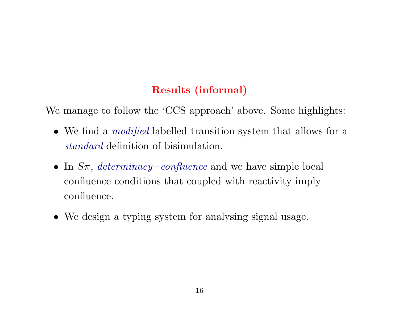# Results (informal)

We manage to follow the 'CCS approach' above. Some highlights:

- We find a *modified* labelled transition system that allows for a standard definition of bisimulation.
- In  $S_{\pi}$ , determinacy=confluence and we have simple local confluence conditions that coupled with reactivity imply confluence.
- We design a typing system for analysing signal usage.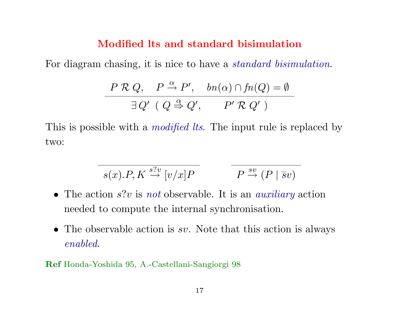#### Modified lts and standard bisimulation

For diagram chasing, it is nice to have a *standard bisimulation*.

$$
\frac{P \mathcal{R} Q, \quad P \stackrel{\alpha}{\rightarrow} P', \quad bn(\alpha) \cap fn(Q) = \emptyset}{\exists Q' \ (Q \stackrel{\alpha}{\Rightarrow} Q', \quad P' \mathcal{R} Q')
$$

This is possible with a *modified lts*. The input rule is replaced by two:

$$
s(x).P, K \xrightarrow{s?v} [v/x]P \qquad P \xrightarrow{sv} (P \mid \overline{s}v)
$$

- The action  $s$ ? is not observable. It is an *auxiliary* action needed to compute the internal synchronisation.
- The observable action is sv. Note that this action is always enabled.

Ref Honda-Yoshida 95, A.-Castellani-Sangiorgi 98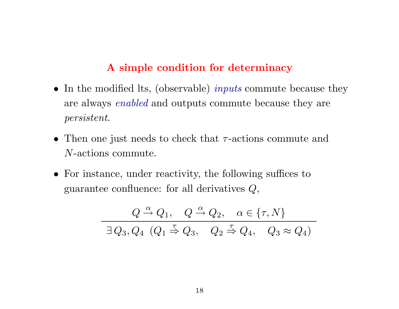## A simple condition for determinacy

- In the modified lts, (observable) *inputs* commute because they are always enabled and outputs commute because they are persistent.
- Then one just needs to check that  $\tau$ -actions commute and N-actions commute.
- For instance, under reactivity, the following suffices to guarantee confluence: for all derivatives  $Q$ ,

$$
Q \stackrel{\alpha}{\rightarrow} Q_1, \quad Q \stackrel{\alpha}{\rightarrow} Q_2, \quad \alpha \in \{\tau, N\}
$$
  

$$
\exists Q_3, Q_4 \ (Q_1 \stackrel{\tau}{\Rightarrow} Q_3, \quad Q_2 \stackrel{\tau}{\Rightarrow} Q_4, \quad Q_3 \approx Q_4)
$$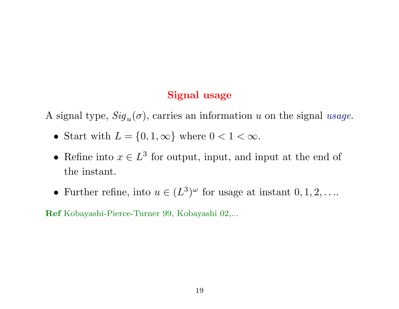## Signal usage

A signal type,  $\text{Sig}_u(\sigma)$ , carries an information u on the signal usage.

- Start with  $L = \{0, 1, \infty\}$  where  $0 < 1 < \infty$ .
- Refine into  $x \in L^3$  for output, input, and input at the end of the instant.
- Further refine, into  $u \in (L^3)^\omega$  for usage at instant  $0, 1, 2, \ldots$

Ref Kobayashi-Pierce-Turner 99, Kobayashi 02,...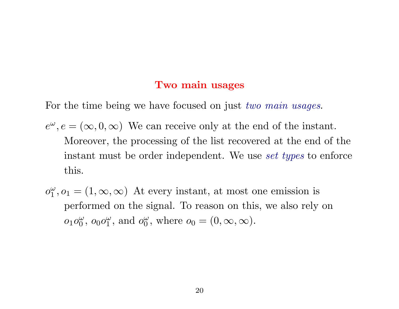#### Two main usages

For the time being we have focused on just two main usages.

- $e^{\omega}, e = (\infty, 0, \infty)$  We can receive only at the end of the instant. Moreover, the processing of the list recovered at the end of the instant must be order independent. We use set types to enforce this.
- $o_1^{\omega}$  $_1^{\omega}, o_1 = (1, \infty, \infty)$  At every instant, at most one emission is performed on the signal. To reason on this, we also rely on  $o_1o_0^{\omega}$  $\overset{\omega}{0},\ o_0o_1^{\omega}$  $\frac{\omega}{1}$ , and  $o_0^{\omega}$  $_{0}^{\omega}$ , where  $o_{0}=(0,\infty,\infty)$ .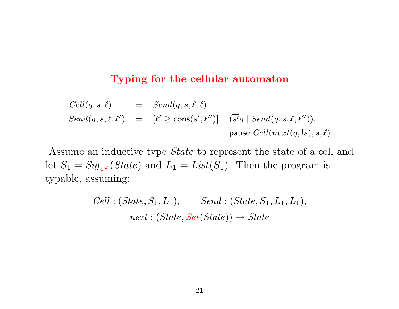#### Typing for the cellular automaton

$$
Cell(q, s, \ell) = Send(q, s, \ell, \ell)
$$
  
\n
$$
Send(q, s, \ell, \ell') = [\ell' \ge \text{cons}(s', \ell'')] \quad (\overline{s'}q \mid Send(q, s, \ell, \ell'')),
$$
  
\n
$$
\text{pause.} Cell(next(q, ls), s, \ell)
$$

Assume an inductive type State to represent the state of a cell and let  $S_1 = Sig_{e^{\omega}}(State)$  and  $L_1 = List(S_1)$ . Then the program is typable, assuming:

> $Cell : (State, S_1, L_1),$   $Send : (State, S_1, L_1, L_1),$  $next: (State, Set(State)) \rightarrow State$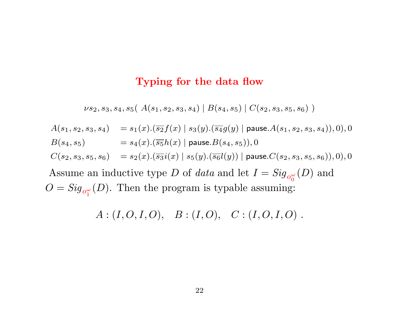#### Typing for the data flow

 $\nu s_2, s_3, s_4, s_5(A(s_1, s_2, s_3, s_4) | B(s_4, s_5) | C(s_2, s_3, s_5, s_6))$ 

$$
A(s_1, s_2, s_3, s_4) = s_1(x).(\overline{s_2}f(x) | s_3(y).(\overline{s_4}g(y) | \text{ pause. } A(s_1, s_2, s_3, s_4)), 0), 0
$$
  

$$
B(s_4, s_5) = s_4(x).(\overline{s_5}h(x) | \text{ pause. } B(s_4, s_5)), 0
$$

 $C(s_2, s_3, s_5, s_6) = s_2(x).(\overline{s_3i}(x) | s_5(y).(\overline{s_6}l(y)) |$  pause. $C(s_2, s_3, s_5, s_6)$ , 0, 0

Assume an inductive type D of data and let  $I = Sig_{o_0^{\omega}}$  $\frac{1}{0}(D)$  and  $O = Sig_{o_1^{\omega}}$  $\frac{1}{1}(D)$ . Then the program is typable assuming:

 $A:(I, O, I, O), \quad B:(I, O), \quad C:(I, O, I, O)$ .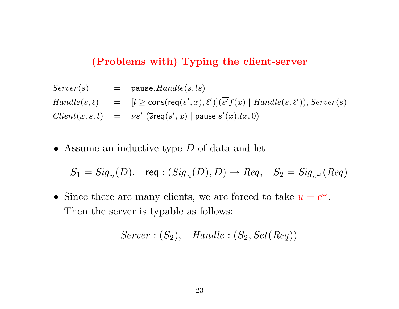## (Problems with) Typing the client-server

 $Server(s)$  = pause.  $Handle(s, ls)$  $H and le(s, \ell) = [l \ge \text{cons}(\text{req}(s', x), \ell')](\overline{s'}f(x) | \text{H} and le(s, \ell')), Server(s)$  $Client(x, s, t) = \nu s'$  (sreq $(s', x)$ ) pause.s' $(x)$ . $\bar{t}x$ , 0)

• Assume an inductive type D of data and let

 $S_1= \mathit{Sig}_u(D), \quad \textsf{req} : (\mathit{Sig}_u(D), D) \rightarrow \mathit{Req}, \quad S_2= \mathit{Sig}_{e^\omega}(\mathit{Req})$ 

• Since there are many clients, we are forced to take  $u = e^{\omega}$ . Then the server is typable as follows:

 $Server: (S_2),$  Handle:  $(S_2, Set(Reg))$